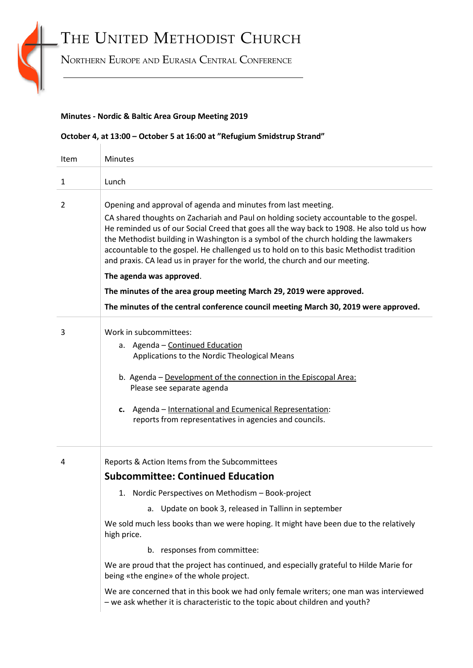# THE UNITED METHODIST CHURCH

NORTHERN EUROPE AND EURASIA CENTRAL CONFERENCE

### **Minutes - Nordic & Baltic Area Group Meeting 2019**

 $\pm 1$ 

### **October 4, at 13:00 – October 5 at 16:00 at "Refugium Smidstrup Strand"**

| Item | <b>Minutes</b>                                                                                                                                                                                                                                                                                                                                                                                                                                                                                                                                                                                                                                                                                                     |
|------|--------------------------------------------------------------------------------------------------------------------------------------------------------------------------------------------------------------------------------------------------------------------------------------------------------------------------------------------------------------------------------------------------------------------------------------------------------------------------------------------------------------------------------------------------------------------------------------------------------------------------------------------------------------------------------------------------------------------|
| 1    | Lunch                                                                                                                                                                                                                                                                                                                                                                                                                                                                                                                                                                                                                                                                                                              |
| 2    | Opening and approval of agenda and minutes from last meeting.<br>CA shared thoughts on Zachariah and Paul on holding society accountable to the gospel.<br>He reminded us of our Social Creed that goes all the way back to 1908. He also told us how<br>the Methodist building in Washington is a symbol of the church holding the lawmakers<br>accountable to the gospel. He challenged us to hold on to this basic Methodist tradition<br>and praxis. CA lead us in prayer for the world, the church and our meeting.<br>The agenda was approved.<br>The minutes of the area group meeting March 29, 2019 were approved.<br>The minutes of the central conference council meeting March 30, 2019 were approved. |
| 3    | Work in subcommittees:<br>a. Agenda - Continued Education<br>Applications to the Nordic Theological Means<br>b. Agenda - Development of the connection in the Episcopal Area:<br>Please see separate agenda<br>Agenda - International and Ecumenical Representation:<br>c.<br>reports from representatives in agencies and councils.                                                                                                                                                                                                                                                                                                                                                                               |
| 4    | Reports & Action Items from the Subcommittees<br><b>Subcommittee: Continued Education</b><br>1. Nordic Perspectives on Methodism - Book-project<br>a. Update on book 3, released in Tallinn in september<br>We sold much less books than we were hoping. It might have been due to the relatively<br>high price.<br>b. responses from committee:<br>We are proud that the project has continued, and especially grateful to Hilde Marie for<br>being «the engine» of the whole project.<br>We are concerned that in this book we had only female writers; one man was interviewed<br>- we ask whether it is characteristic to the topic about children and youth?                                                  |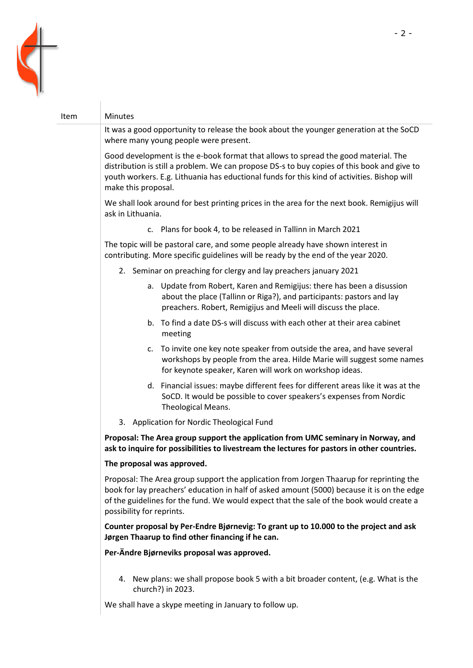

| Item | Minutes                                                                                                                                                                                                                                                                                                        |
|------|----------------------------------------------------------------------------------------------------------------------------------------------------------------------------------------------------------------------------------------------------------------------------------------------------------------|
|      | It was a good opportunity to release the book about the younger generation at the SoCD<br>where many young people were present.                                                                                                                                                                                |
|      | Good development is the e-book format that allows to spread the good material. The<br>distribution is still a problem. We can propose DS-s to buy copies of this book and give to<br>youth workers. E.g. Lithuania has eductional funds for this kind of activities. Bishop will<br>make this proposal.        |
|      | We shall look around for best printing prices in the area for the next book. Remigijus will<br>ask in Lithuania.                                                                                                                                                                                               |
|      | c. Plans for book 4, to be released in Tallinn in March 2021                                                                                                                                                                                                                                                   |
|      | The topic will be pastoral care, and some people already have shown interest in<br>contributing. More specific guidelines will be ready by the end of the year 2020.                                                                                                                                           |
|      | 2. Seminar on preaching for clergy and lay preachers january 2021                                                                                                                                                                                                                                              |
|      | a. Update from Robert, Karen and Remigijus: there has been a disussion<br>about the place (Tallinn or Riga?), and participants: pastors and lay<br>preachers. Robert, Remigijus and Meeli will discuss the place.                                                                                              |
|      | b. To find a date DS-s will discuss with each other at their area cabinet<br>meeting                                                                                                                                                                                                                           |
|      | c. To invite one key note speaker from outside the area, and have several<br>workshops by people from the area. Hilde Marie will suggest some names<br>for keynote speaker, Karen will work on workshop ideas.                                                                                                 |
|      | d. Financial issues: maybe different fees for different areas like it was at the<br>SoCD. It would be possible to cover speakers's expenses from Nordic<br>Theological Means.                                                                                                                                  |
|      | 3. Application for Nordic Theological Fund                                                                                                                                                                                                                                                                     |
|      | Proposal: The Area group support the application from UMC seminary in Norway, and<br>ask to inquire for possibilities to livestream the lectures for pastors in other countries.                                                                                                                               |
|      | The proposal was approved.                                                                                                                                                                                                                                                                                     |
|      | Proposal: The Area group support the application from Jorgen Thaarup for reprinting the<br>book for lay preachers' education in half of asked amount (5000) because it is on the edge<br>of the guidelines for the fund. We would expect that the sale of the book would create a<br>possibility for reprints. |
|      | Counter proposal by Per-Endre Bjørnevig: To grant up to 10.000 to the project and ask<br>Jørgen Thaarup to find other financing if he can.                                                                                                                                                                     |

**Per-Ändre Bjørneviks proposal was approved.**

4. New plans: we shall propose book 5 with a bit broader content, (e.g. What is the church?) in 2023.

We shall have a skype meeting in January to follow up.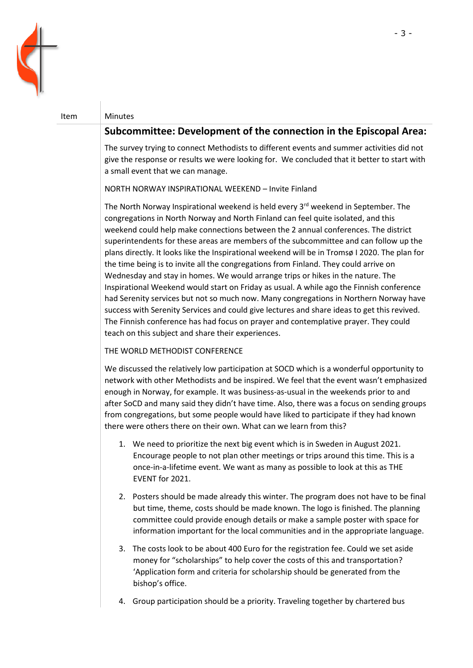

### Item Minutes

## **Subcommittee: Development of the connection in the Episcopal Area:**

The survey trying to connect Methodists to different events and summer activities did not give the response or results we were looking for. We concluded that it better to start with a small event that we can manage.

NORTH NORWAY INSPIRATIONAL WEEKEND – Invite Finland

The North Norway Inspirational weekend is held every 3<sup>rd</sup> weekend in September. The congregations in North Norway and North Finland can feel quite isolated, and this weekend could help make connections between the 2 annual conferences. The district superintendents for these areas are members of the subcommittee and can follow up the plans directly. It looks like the Inspirational weekend will be in Tromsø I 2020. The plan for the time being is to invite all the congregations from Finland. They could arrive on Wednesday and stay in homes. We would arrange trips or hikes in the nature. The Inspirational Weekend would start on Friday as usual. A while ago the Finnish conference had Serenity services but not so much now. Many congregations in Northern Norway have success with Serenity Services and could give lectures and share ideas to get this revived. The Finnish conference has had focus on prayer and contemplative prayer. They could teach on this subject and share their experiences.

### THE WORLD METHODIST CONFERENCE

We discussed the relatively low participation at SOCD which is a wonderful opportunity to network with other Methodists and be inspired. We feel that the event wasn't emphasized enough in Norway, for example. It was business-as-usual in the weekends prior to and after SoCD and many said they didn't have time. Also, there was a focus on sending groups from congregations, but some people would have liked to participate if they had known there were others there on their own. What can we learn from this?

- 1. We need to prioritize the next big event which is in Sweden in August 2021. Encourage people to not plan other meetings or trips around this time. This is a once-in-a-lifetime event. We want as many as possible to look at this as THE EVENT for 2021.
- 2. Posters should be made already this winter. The program does not have to be final but time, theme, costs should be made known. The logo is finished. The planning committee could provide enough details or make a sample poster with space for information important for the local communities and in the appropriate language.
- 3. The costs look to be about 400 Euro for the registration fee. Could we set aside money for "scholarships" to help cover the costs of this and transportation? 'Application form and criteria for scholarship should be generated from the bishop's office.
- 4. Group participation should be a priority. Traveling together by chartered bus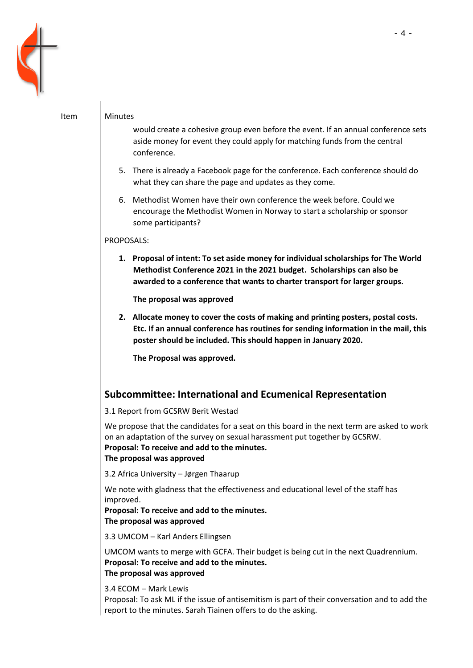

| Item | <b>Minutes</b>                                                                                                                                                                                                                                        |
|------|-------------------------------------------------------------------------------------------------------------------------------------------------------------------------------------------------------------------------------------------------------|
|      | would create a cohesive group even before the event. If an annual conference sets<br>aside money for event they could apply for matching funds from the central<br>conference.                                                                        |
|      | 5. There is already a Facebook page for the conference. Each conference should do<br>what they can share the page and updates as they come.                                                                                                           |
|      | 6. Methodist Women have their own conference the week before. Could we<br>encourage the Methodist Women in Norway to start a scholarship or sponsor<br>some participants?                                                                             |
|      | PROPOSALS:                                                                                                                                                                                                                                            |
|      | 1. Proposal of intent: To set aside money for individual scholarships for The World<br>Methodist Conference 2021 in the 2021 budget. Scholarships can also be<br>awarded to a conference that wants to charter transport for larger groups.           |
|      | The proposal was approved                                                                                                                                                                                                                             |
|      | 2. Allocate money to cover the costs of making and printing posters, postal costs.<br>Etc. If an annual conference has routines for sending information in the mail, this<br>poster should be included. This should happen in January 2020.           |
|      | The Proposal was approved.                                                                                                                                                                                                                            |
|      | <b>Subcommittee: International and Ecumenical Representation</b>                                                                                                                                                                                      |
|      | 3.1 Report from GCSRW Berit Westad                                                                                                                                                                                                                    |
|      | We propose that the candidates for a seat on this board in the next term are asked to work<br>on an adaptation of the survey on sexual harassment put together by GCSRW.<br>Proposal: To receive and add to the minutes.<br>The proposal was approved |
|      | 3.2 Africa University - Jørgen Thaarup                                                                                                                                                                                                                |
|      | We note with gladness that the effectiveness and educational level of the staff has<br>improved.<br>Proposal: To receive and add to the minutes.<br>The proposal was approved                                                                         |
|      | 3.3 UMCOM - Karl Anders Ellingsen                                                                                                                                                                                                                     |
|      | UMCOM wants to merge with GCFA. Their budget is being cut in the next Quadrennium.<br>Proposal: To receive and add to the minutes.<br>The proposal was approved                                                                                       |
|      | 3.4 ECOM - Mark Lewis<br>Proposal: To ask ML if the issue of antisemitism is part of their conversation and to add the<br>report to the minutes. Sarah Tiainen offers to do the asking.                                                               |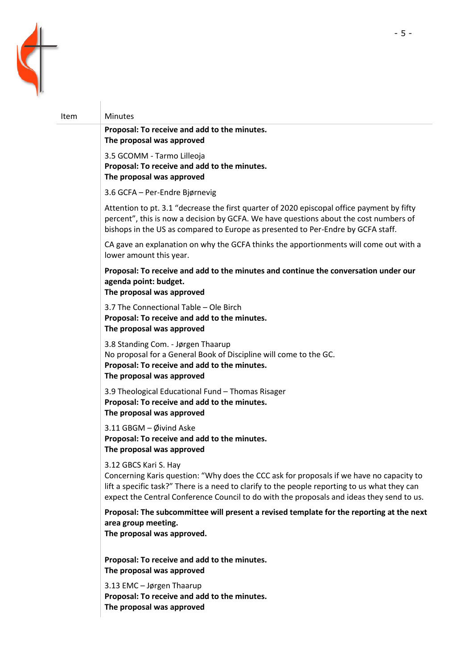

# Item Minutes **Proposal: To receive and add to the minutes. The proposal was approved** 3.5 GCOMM - Tarmo Lilleoja **Proposal: To receive and add to the minutes. The proposal was approved** 3.6 GCFA – Per-Endre Bjørnevig Attention to pt. 3.1 "decrease the first quarter of 2020 episcopal office payment by fifty percent", this is now a decision by GCFA. We have questions about the cost numbers of bishops in the US as compared to Europe as presented to Per-Endre by GCFA staff. CA gave an explanation on why the GCFA thinks the apportionments will come out with a lower amount this year. **Proposal: To receive and add to the minutes and continue the conversation under our agenda point: budget. The proposal was approved** 3.7 The Connectional Table – Ole Birch **Proposal: To receive and add to the minutes. The proposal was approved** 3.8 Standing Com. - Jørgen Thaarup No proposal for a General Book of Discipline will come to the GC. **Proposal: To receive and add to the minutes. The proposal was approved** 3.9 Theological Educational Fund – Thomas Risager **Proposal: To receive and add to the minutes. The proposal was approved** 3.11 GBGM – Øivind Aske **Proposal: To receive and add to the minutes. The proposal was approved** 3.12 GBCS Kari S. Hay Concerning Karis question: "Why does the CCC ask for proposals if we have no capacity to lift a specific task?" There is a need to clarify to the people reporting to us what they can expect the Central Conference Council to do with the proposals and ideas they send to us. **Proposal: The subcommittee will present a revised template for the reporting at the next area group meeting. The proposal was approved. Proposal: To receive and add to the minutes. The proposal was approved** 3.13 EMC – Jørgen Thaarup **Proposal: To receive and add to the minutes. The proposal was approved**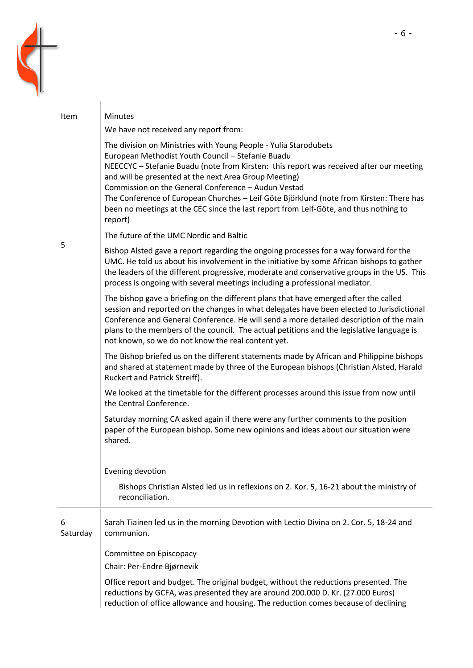

| <b>Item</b>   | <b>Minutes</b>                                                                                                                                                                                                                                                                                                                                                                                                                                                                                                                  |
|---------------|---------------------------------------------------------------------------------------------------------------------------------------------------------------------------------------------------------------------------------------------------------------------------------------------------------------------------------------------------------------------------------------------------------------------------------------------------------------------------------------------------------------------------------|
|               | We have not received any report from:                                                                                                                                                                                                                                                                                                                                                                                                                                                                                           |
|               | The division on Ministries with Young People - Yulia Starodubets<br>European Methodist Youth Council - Stefanie Buadu<br>NEECCYC - Stefanie Buadu (note from Kirsten: this report was received after our meeting<br>and will be presented at the next Area Group Meeting)<br>Commission on the General Conference - Audun Vestad<br>The Conference of European Churches - Leif Göte Björklund (note from Kirsten: There has<br>been no meetings at the CEC since the last report from Leif-Göte, and thus nothing to<br>report) |
|               | The future of the UMC Nordic and Baltic                                                                                                                                                                                                                                                                                                                                                                                                                                                                                         |
| 5             | Bishop Alsted gave a report regarding the ongoing processes for a way forward for the<br>UMC. He told us about his involvement in the initiative by some African bishops to gather<br>the leaders of the different progressive, moderate and conservative groups in the US. This<br>process is ongoing with several meetings including a professional mediator.                                                                                                                                                                 |
|               | The bishop gave a briefing on the different plans that have emerged after the called<br>session and reported on the changes in what delegates have been elected to Jurisdictional<br>Conference and General Conference. He will send a more detailed description of the main<br>plans to the members of the council. The actual petitions and the legislative language is<br>not known, so we do not know the real content yet.                                                                                                 |
|               | The Bishop briefed us on the different statements made by African and Philippine bishops<br>and shared at statement made by three of the European bishops (Christian Alsted, Harald<br>Ruckert and Patrick Streiff).                                                                                                                                                                                                                                                                                                            |
|               | We looked at the timetable for the different processes around this issue from now until<br>the Central Conference.                                                                                                                                                                                                                                                                                                                                                                                                              |
|               | Saturday morning CA asked again if there were any further comments to the position<br>paper of the European bishop. Some new opinions and ideas about our situation were<br>shared.                                                                                                                                                                                                                                                                                                                                             |
|               | Evening devotion                                                                                                                                                                                                                                                                                                                                                                                                                                                                                                                |
|               | Bishops Christian Alsted led us in reflexions on 2. Kor. 5, 16-21 about the ministry of<br>reconciliation.                                                                                                                                                                                                                                                                                                                                                                                                                      |
| 6<br>Saturday | Sarah Tiainen led us in the morning Devotion with Lectio Divina on 2. Cor. 5, 18-24 and<br>communion.                                                                                                                                                                                                                                                                                                                                                                                                                           |
|               | Committee on Episcopacy                                                                                                                                                                                                                                                                                                                                                                                                                                                                                                         |
|               | Chair: Per-Endre Bjørnevik                                                                                                                                                                                                                                                                                                                                                                                                                                                                                                      |
|               | Office report and budget. The original budget, without the reductions presented. The<br>reductions by GCFA, was presented they are around 200.000 D. Kr. (27.000 Euros)<br>reduction of office allowance and housing. The reduction comes because of declining                                                                                                                                                                                                                                                                  |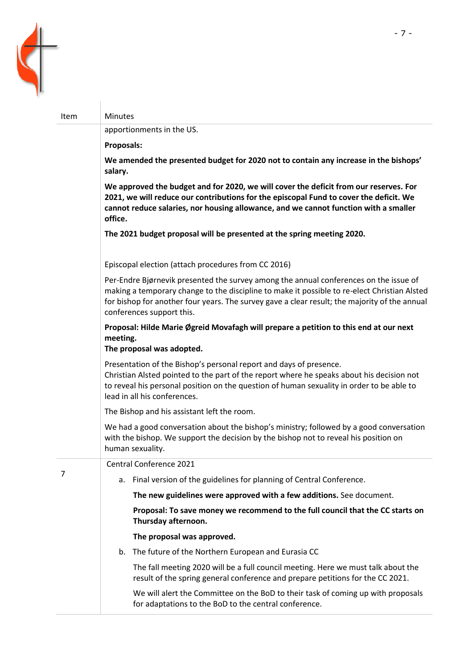

Item Minutes

# **We amended the presented budget for 2020 not to contain any increase in the bishops'**

**We approved the budget and for 2020, we will cover the deficit from our reserves. For 2021, we will reduce our contributions for the episcopal Fund to cover the deficit. We cannot reduce salaries, nor housing allowance, and we cannot function with a smaller office.**

**The 2021 budget proposal will be presented at the spring meeting 2020.**

Episcopal election (attach procedures from CC 2016)

Per-Endre Bjørnevik presented the survey among the annual conferences on the issue of making a temporary change to the discipline to make it possible to re-elect Christian Alsted for bishop for another four years. The survey gave a clear result; the majority of the annual conferences support this.

**Proposal: Hilde Marie Øgreid Movafagh will prepare a petition to this end at our next meeting.**

**The proposal was adopted.**

apportionments in the US.

**Proposals:** 

**salary.**

Presentation of the Bishop's personal report and days of presence. Christian Alsted pointed to the part of the report where he speaks about his decision not to reveal his personal position on the question of human sexuality in order to be able to lead in all his conferences.

The Bishop and his assistant left the room.

We had a good conversation about the bishop's ministry; followed by a good conversation with the bishop. We support the decision by the bishop not to reveal his position on

|   | human sexuality.        |                                                                                                                                                                     |  |  |
|---|-------------------------|---------------------------------------------------------------------------------------------------------------------------------------------------------------------|--|--|
| 7 | Central Conference 2021 |                                                                                                                                                                     |  |  |
|   | а.                      | Final version of the guidelines for planning of Central Conference.                                                                                                 |  |  |
|   |                         | The new guidelines were approved with a few additions. See document.                                                                                                |  |  |
|   |                         | Proposal: To save money we recommend to the full council that the CC starts on<br>Thursday afternoon.                                                               |  |  |
|   |                         | The proposal was approved.                                                                                                                                          |  |  |
|   |                         | b. The future of the Northern European and Eurasia CC                                                                                                               |  |  |
|   |                         | The fall meeting 2020 will be a full council meeting. Here we must talk about the<br>result of the spring general conference and prepare petitions for the CC 2021. |  |  |
|   |                         | We will alert the Committee on the BoD to their task of coming up with proposals<br>for adaptations to the BoD to the central conference.                           |  |  |